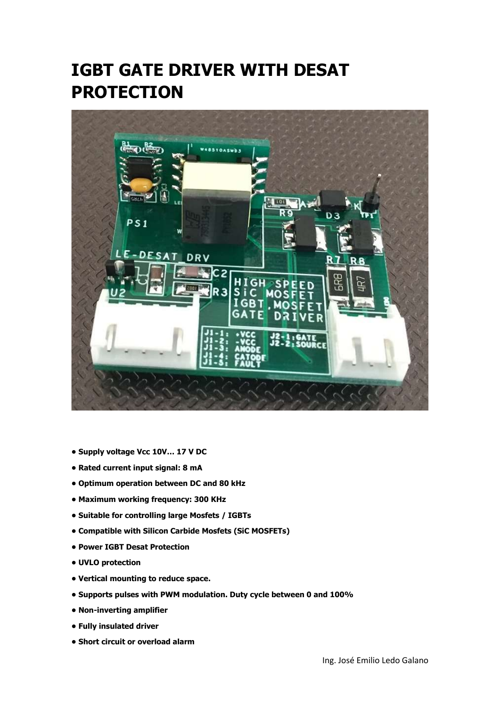## IGBT GATE DRIVER WITH DESAT **PROTECTION**



- Supply voltage Vcc 10V… 17 V DC
- Rated current input signal: 8 mA
- Optimum operation between DC and 80 kHz
- Maximum working frequency: 300 KHz
- Suitable for controlling large Mosfets / IGBTs
- Compatible with Silicon Carbide Mosfets (SiC MOSFETs)
- Power IGBT Desat Protection
- UVLO protection
- Vertical mounting to reduce space.
- Supports pulses with PWM modulation. Duty cycle between 0 and 100%
- Non-inverting amplifier
- Fully insulated driver
- Short circuit or overload alarm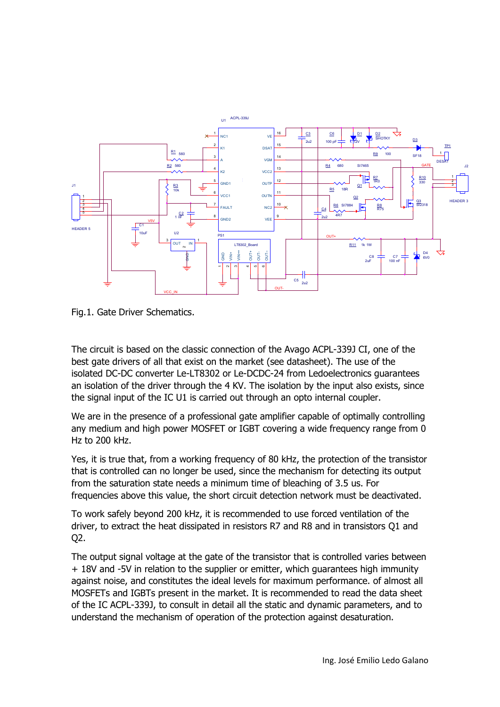

Fig.1. Gate Driver Schematics.

The circuit is based on the classic connection of the Avago ACPL-339J CI, one of the best gate drivers of all that exist on the market (see datasheet). The use of the isolated DC-DC converter Le-LT8302 or Le-DCDC-24 from Ledoelectronics guarantees an isolation of the driver through the 4 KV. The isolation by the input also exists, since the signal input of the IC U1 is carried out through an opto internal coupler.

We are in the presence of a professional gate amplifier capable of optimally controlling any medium and high power MOSFET or IGBT covering a wide frequency range from 0 Hz to 200 kHz.

Yes, it is true that, from a working frequency of 80 kHz, the protection of the transistor that is controlled can no longer be used, since the mechanism for detecting its output from the saturation state needs a minimum time of bleaching of 3.5 us. For frequencies above this value, the short circuit detection network must be deactivated.

To work safely beyond 200 kHz, it is recommended to use forced ventilation of the driver, to extract the heat dissipated in resistors R7 and R8 and in transistors Q1 and Q2.

The output signal voltage at the gate of the transistor that is controlled varies between + 18V and -5V in relation to the supplier or emitter, which guarantees high immunity against noise, and constitutes the ideal levels for maximum performance. of almost all MOSFETs and IGBTs present in the market. It is recommended to read the data sheet of the IC ACPL-339J, to consult in detail all the static and dynamic parameters, and to understand the mechanism of operation of the protection against desaturation.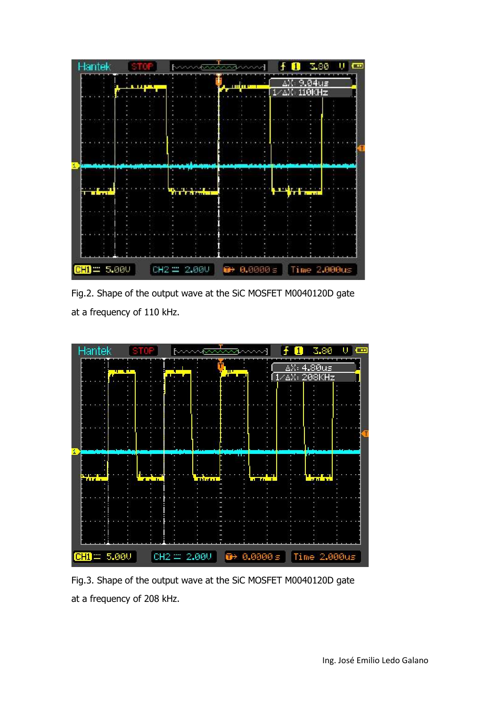

Fig.2. Shape of the output wave at the SiC MOSFET M0040120D gate at a frequency of 110 kHz.



Fig.3. Shape of the output wave at the SiC MOSFET M0040120D gate at a frequency of 208 kHz.